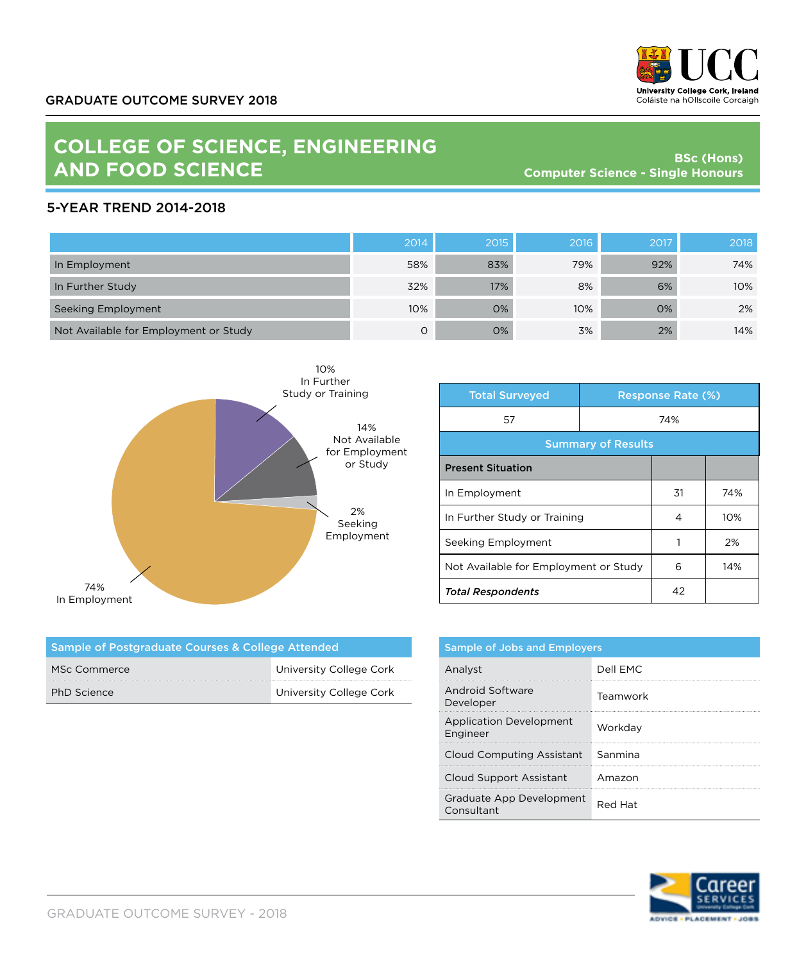

## **COLLEGE OF SCIENCE, ENGINEERING AND FOOD SCIENCE**

**BSc (Hons) Computer Science - Single Honours**

## 5-YEAR TREND 2014-2018

|                                       | 2014 | 2015 | 2016 | 2017 | 2018 |
|---------------------------------------|------|------|------|------|------|
| In Employment                         | 58%  | 83%  | 79%  | 92%  | 74%  |
| In Further Study                      | 32%  | 17%  | 8%   | 6%   | 10%  |
| Seeking Employment                    | 10%  | 0%   | 10%  | 0%   | 2%   |
| Not Available for Employment or Study | Ο    | 0%   | 3%   | 2%   | 14%  |



| <b>Total Surveyed</b>                 |  | <b>Response Rate (%)</b> |     |  |
|---------------------------------------|--|--------------------------|-----|--|
| 57                                    |  | 74%                      |     |  |
| <b>Summary of Results</b>             |  |                          |     |  |
| <b>Present Situation</b>              |  |                          |     |  |
| In Employment                         |  | 31                       | 74% |  |
| In Further Study or Training          |  | 4                        | 10% |  |
| Seeking Employment                    |  |                          | 2%  |  |
| Not Available for Employment or Study |  | 6                        | 14% |  |
| <b>Total Respondents</b>              |  | 42                       |     |  |

| Sample of Postgraduate Courses & College Attended |                         |  |
|---------------------------------------------------|-------------------------|--|
| MSc Commerce                                      | University College Cork |  |
| PhD Science                                       | University College Cork |  |

| <b>Sample of Jobs and Employers</b>        |          |  |
|--------------------------------------------|----------|--|
| Analyst                                    | Dell EMC |  |
| Android Software<br>Developer              | Teamwork |  |
| <b>Application Development</b><br>Engineer | Workdav  |  |
| Cloud Computing Assistant                  | Sanmina  |  |
| Cloud Support Assistant                    | Amazon   |  |
| Graduate App Development<br>Consultant     | Red Hat  |  |